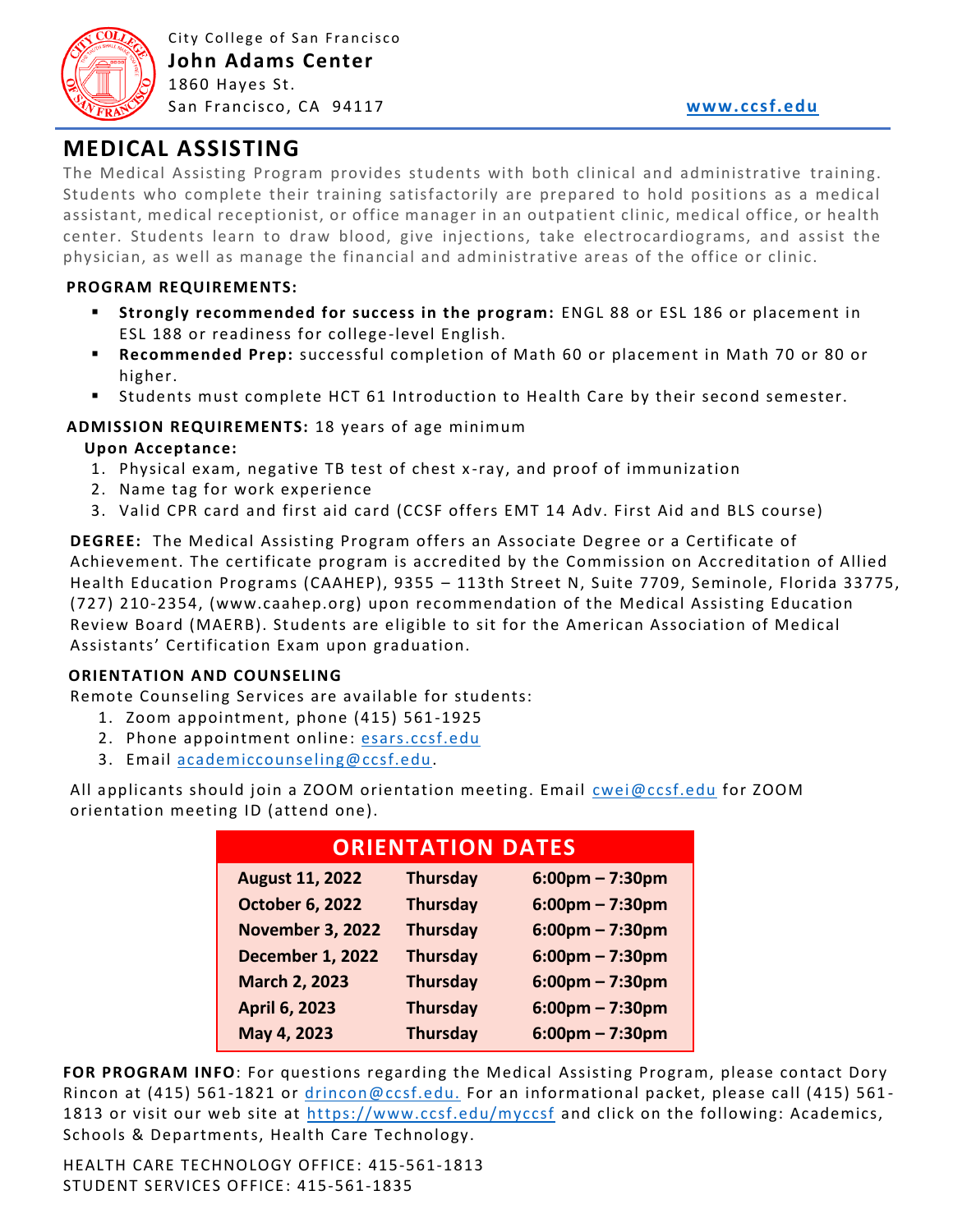

# **MEDICAL ASSISTING**

The Medical Assisting Program provides students with both clinical and administrative training. Students who complete their training satisfactorily are prepared to hold positions as a medical assistant, medical receptionist, or office manager in an outpatient clinic, medical office, or health center. Students learn to draw blood, give injections, take electrocardiograms, and assist the physician, as well as manage the financial and administrative areas of the office or clinic.

#### **PROGRAM REQUIREMENTS:**

- **Strongly recommended for success in the program:** ENGL 88 or ESL 186 or placement in ESL 188 or readiness for college-level English.
- **Recommended Prep:** successful completion of Math 60 or placement in Math 70 or 80 or higher.
- Students must complete HCT 61 Introduction to Health Care by their second semester.

#### **ADMISSION REQUIREMENTS:** 18 years of age minimum

#### **Upon Acceptance:**

- 1. Physical exam, negative TB test of chest x -ray, and proof of immunization
- 2. Name tag for work experience
- 3. Valid CPR card and first aid card (CCSF offers EMT 14 Adv. First Aid and BLS course)

**DEGREE:** The Medical Assisting Program offers an Associate Degree or a Certificate of Achievement. The certificate program is accredited by the Commission on Accreditation of Allied Health Education Programs (CAAHEP), 9355 – 113th Street N, Suite 7709, Seminole, Florida 33775, (727) 210-2354, (www.caahep.org) upon recommendation of the Medical Assisting Education Review Board (MAERB). Students are eligible to sit for the American Association of Medical Assistants' Certification Exam upon graduation.

#### **ORIENTATION AND COUNSELING**

Remote Counseling Services are available for students:

- 1. Zoom appointment, phone (415) 561-1925
- 2. Phone appointment online: [esars.ccsf.edu](https://esars.ccsf.edu/)
- 3. Email [academiccounseling@ccsf.edu.](mailto:academiccounseling@ccsf.edu)

All applicants should join a ZOOM orientation meeting. Email [cwei@ccsf.edu](mailto:cwei@ccsf.edu) for ZOOM orientation meeting ID (attend one).

| <b>ORIENTATION DATES</b> |                 |                                   |
|--------------------------|-----------------|-----------------------------------|
| <b>August 11, 2022</b>   | <b>Thursday</b> | $6:00$ pm – 7:30pm                |
| <b>October 6, 2022</b>   | <b>Thursday</b> | $6:00$ pm – 7:30pm                |
| <b>November 3, 2022</b>  | <b>Thursday</b> | $6:00$ pm – 7:30pm                |
| <b>December 1, 2022</b>  | <b>Thursday</b> | $6:00 \text{pm} - 7:30 \text{pm}$ |
| <b>March 2, 2023</b>     | <b>Thursday</b> | $6:00$ pm – 7:30pm                |
| <b>April 6, 2023</b>     | <b>Thursday</b> | $6:00$ pm – 7:30pm                |
| May 4, 2023              | <b>Thursday</b> | $6:00$ pm – 7:30pm                |

**FOR PROGRAM INFO**: For questions regarding the Medical Assisting Program, please contact Dory Rincon at (415) 561-1821 or *drincon@ccsf.edu.* For an informational packet, please call (415) 561-1813 or visit our web site at<https://www.ccsf.edu/myccsf> and click on the following: Academics, Schools & Departments, Health Care Technology.

HEALTH CARE TECHNOLOGY OFFICE: 415-561-1813 STUDENT SERVICES OFFICE: 415-561-1835